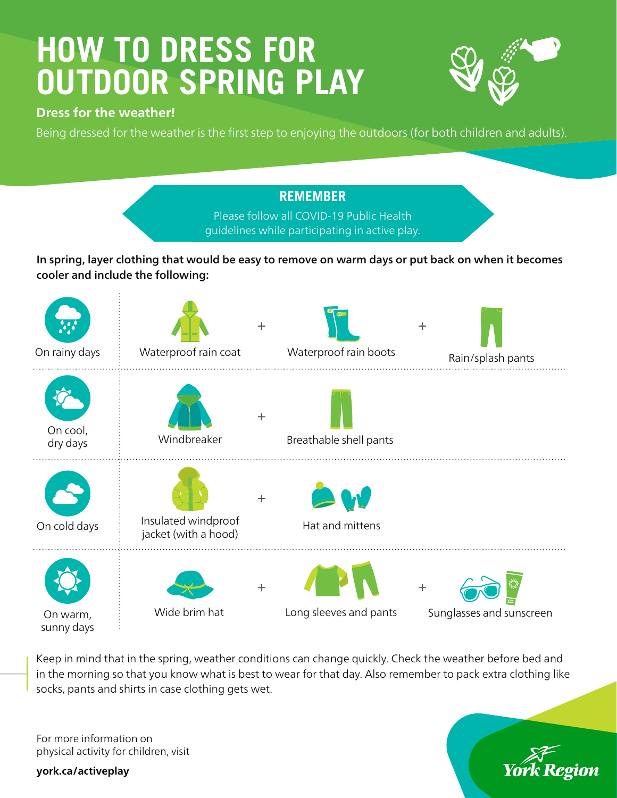# **HOW TO DRESS FOR OUTDOOR SPRING PLAY**



#### **Dress for the weather!**

Being dressed for the weather is the first step to enjoying the outdoors (for both children and adults).

### **REMEMBER** Please follow all COVID-19 Public Health guidelines while participating in active play.

In spring, layer clothing that would be easy to remove on warm days or put back on when it becomes cooler and include the following:



Keep in mind that in the spring, weather conditions can change quickly. Check the weather before bed and in the morning so that you know what is best to wear for that day. Also remember to pack extra clothing like socks, pants and shirts in case clothing gets wet.

For more information on physical activity for children, visit

**york.ca/activeplay**